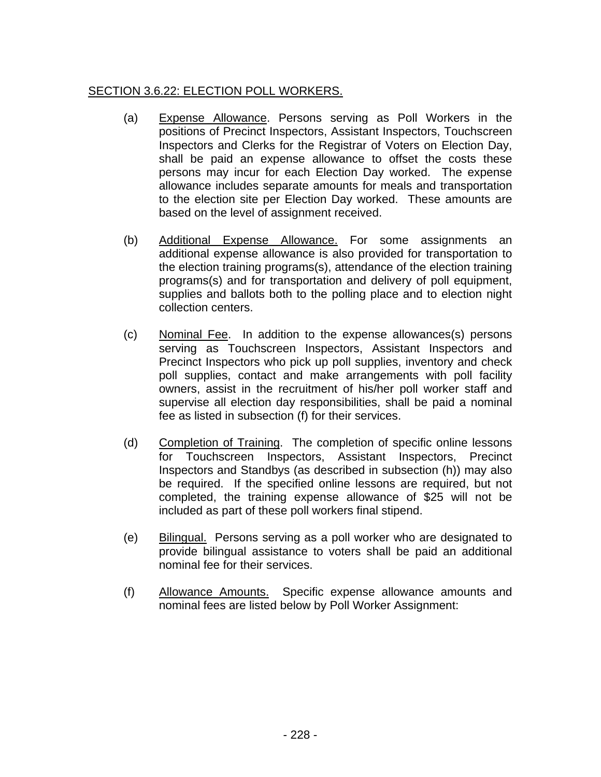## SECTION 3.6.22: ELECTION POLL WORKERS.

- (a) Expense Allowance. Persons serving as Poll Workers in the positions of Precinct Inspectors, Assistant Inspectors, Touchscreen Inspectors and Clerks for the Registrar of Voters on Election Day, shall be paid an expense allowance to offset the costs these persons may incur for each Election Day worked. The expense allowance includes separate amounts for meals and transportation to the election site per Election Day worked. These amounts are based on the level of assignment received.
- (b) Additional Expense Allowance. For some assignments an additional expense allowance is also provided for transportation to the election training programs(s), attendance of the election training programs(s) and for transportation and delivery of poll equipment, supplies and ballots both to the polling place and to election night collection centers.
- (c) Nominal Fee. In addition to the expense allowances(s) persons serving as Touchscreen Inspectors, Assistant Inspectors and Precinct Inspectors who pick up poll supplies, inventory and check poll supplies, contact and make arrangements with poll facility owners, assist in the recruitment of his/her poll worker staff and supervise all election day responsibilities, shall be paid a nominal fee as listed in subsection (f) for their services.
- (d) Completion of Training. The completion of specific online lessons for Touchscreen Inspectors, Assistant Inspectors, Precinct Inspectors and Standbys (as described in subsection (h)) may also be required. If the specified online lessons are required, but not completed, the training expense allowance of \$25 will not be included as part of these poll workers final stipend.
- (e) Bilingual. Persons serving as a poll worker who are designated to provide bilingual assistance to voters shall be paid an additional nominal fee for their services.
- (f) Allowance Amounts. Specific expense allowance amounts and nominal fees are listed below by Poll Worker Assignment: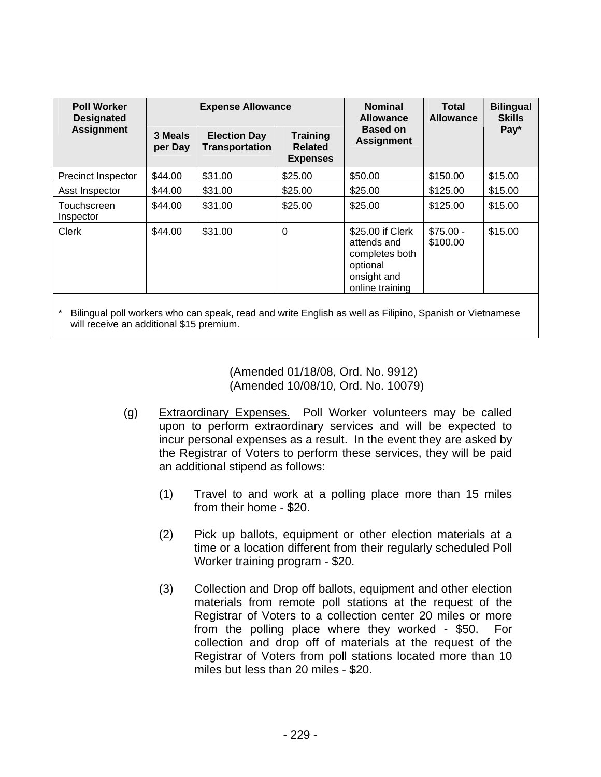| <b>Poll Worker</b><br><b>Designated</b><br><b>Assignment</b> | <b>Expense Allowance</b> |                                              |                                                      | <b>Nominal</b><br><b>Allowance</b>                                                              | Total<br><b>Allowance</b> | <b>Bilingual</b><br><b>Skills</b> |
|--------------------------------------------------------------|--------------------------|----------------------------------------------|------------------------------------------------------|-------------------------------------------------------------------------------------------------|---------------------------|-----------------------------------|
|                                                              | 3 Meals<br>per Day       | <b>Election Day</b><br><b>Transportation</b> | <b>Training</b><br><b>Related</b><br><b>Expenses</b> | <b>Based on</b><br><b>Assignment</b>                                                            |                           | Pay*                              |
| Precinct Inspector                                           | \$44.00                  | \$31.00                                      | \$25.00                                              | \$50.00                                                                                         | \$150.00                  | \$15.00                           |
| Asst Inspector                                               | \$44.00                  | \$31.00                                      | \$25.00                                              | \$25.00                                                                                         | \$125.00                  | \$15.00                           |
| Touchscreen<br>Inspector                                     | \$44.00                  | \$31.00                                      | \$25.00                                              | \$25.00                                                                                         | \$125.00                  | \$15.00                           |
| Clerk                                                        | \$44.00                  | \$31.00                                      | 0                                                    | \$25.00 if Clerk<br>attends and<br>completes both<br>optional<br>onsight and<br>online training | $$75.00 -$<br>\$100.00    | \$15.00                           |

Bilingual poll workers who can speak, read and write English as well as Filipino, Spanish or Vietnamese will receive an additional \$15 premium.

> (Amended 01/18/08, Ord. No. 9912) (Amended 10/08/10, Ord. No. 10079)

- (g) Extraordinary Expenses. Poll Worker volunteers may be called upon to perform extraordinary services and will be expected to incur personal expenses as a result. In the event they are asked by the Registrar of Voters to perform these services, they will be paid an additional stipend as follows:
	- (1) Travel to and work at a polling place more than 15 miles from their home - \$20.
	- (2) Pick up ballots, equipment or other election materials at a time or a location different from their regularly scheduled Poll Worker training program - \$20.
	- (3) Collection and Drop off ballots, equipment and other election materials from remote poll stations at the request of the Registrar of Voters to a collection center 20 miles or more from the polling place where they worked - \$50. For collection and drop off of materials at the request of the Registrar of Voters from poll stations located more than 10 miles but less than 20 miles - \$20.